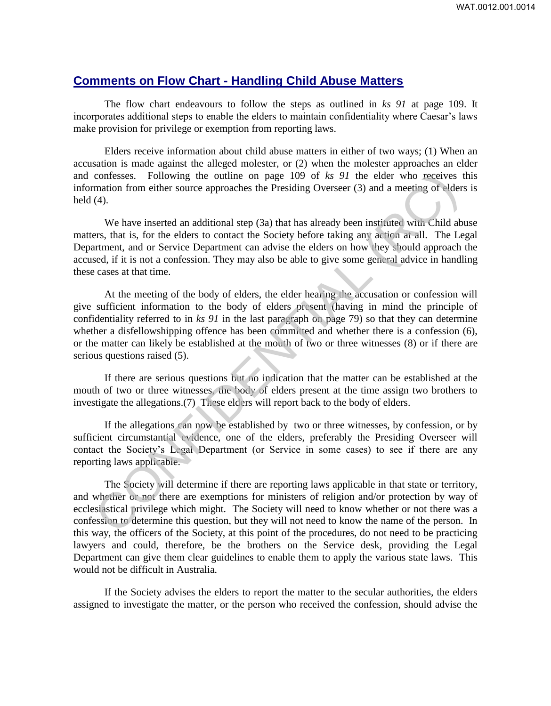## **Comments on Flow Chart - Handling Child Abuse Matters**

The flow chart endeavours to follow the steps as outlined in *ks 91* at page 109. It incorporates additional steps to enable the elders to maintain confidentiality where Caesar's laws make provision for privilege or exemption from reporting laws.

Elders receive information about child abuse matters in either of two ways; (1) When an accusation is made against the alleged molester, or (2) when the molester approaches an elder and confesses. Following the outline on page 109 of *ks 91* the elder who receives this information from either source approaches the Presiding Overseer (3) and a meeting of elders is held (4).

We have inserted an additional step (3a) that has already been instituted with Child abuse matters, that is, for the elders to contact the Society before taking any action at all. The Legal Department, and or Service Department can advise the elders on how they should approach the accused, if it is not a confession. They may also be able to give some general advice in handling these cases at that time.

At the meeting of the body of elders, the elder hearing the accusation or confession will give sufficient information to the body of elders present (having in mind the principle of confidentiality referred to in *ks 91* in the last paragraph on page 79) so that they can determine whether a disfellowshipping offence has been committed and whether there is a confession (6), or the matter can likely be established at the mouth of two or three witnesses (8) or if there are serious questions raised (5). confesses. Following the outline on page 109 of *ks* 91 the elder who receives<br>mation from either source approaches the Presiding Overseer (3) and a meeting of elder<br>(4).<br>We have inserted an additional step (3a) that has

If there are serious questions but no indication that the matter can be established at the mouth of two or three witnesses, the body of elders present at the time assign two brothers to investigate the allegations.(7) These elders will report back to the body of elders.

If the allegations can now be established by two or three witnesses, by confession, or by sufficient circumstantial evidence, one of the elders, preferably the Presiding Overseer will contact the Society's Legal Department (or Service in some cases) to see if there are any reporting laws applicable.

The Society will determine if there are reporting laws applicable in that state or territory, and whether or not there are exemptions for ministers of religion and/or protection by way of ecclesiastical privilege which might. The Society will need to know whether or not there was a confession to determine this question, but they will not need to know the name of the person. In this way, the officers of the Society, at this point of the procedures, do not need to be practicing lawyers and could, therefore, be the brothers on the Service desk, providing the Legal Department can give them clear guidelines to enable them to apply the various state laws. This would not be difficult in Australia.

If the Society advises the elders to report the matter to the secular authorities, the elders assigned to investigate the matter, or the person who received the confession, should advise the